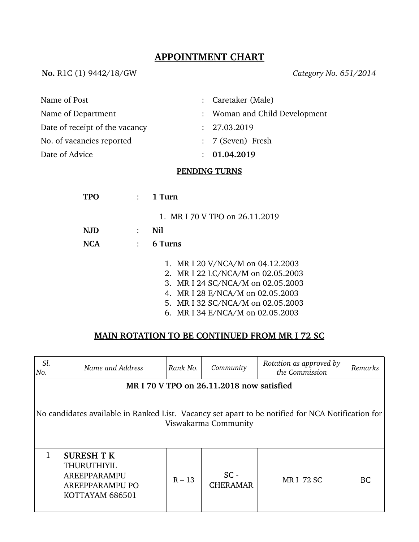# **APPOINTMENT CHART**

**No.** R1C (1) 9442/18/GW *Category No. 651/2014*

| Name of Post                   | : Caretaker (Male)            |
|--------------------------------|-------------------------------|
| Name of Department             | : Woman and Child Development |
| Date of receipt of the vacancy | : 27.03.2019                  |
| No. of vacancies reported      | : 7 (Seven) Fresh             |
| Date of Advice                 | : 01.04.2019                  |
|                                |                               |

#### **PENDING TURNS**

| TPO  | $1$ Turn                                                                                                                                                                                                                |
|------|-------------------------------------------------------------------------------------------------------------------------------------------------------------------------------------------------------------------------|
|      | 1. MR I 70 V TPO on 26.11.2019                                                                                                                                                                                          |
| N.JD | Nil                                                                                                                                                                                                                     |
| NCA  | 6 Turns                                                                                                                                                                                                                 |
|      | 1. MR I 20 V/NCA/M on 04.12.2003<br>2. MR I 22 LC/NCA/M on 02.05.2003<br>3. MR I 24 SC/NCA/M on 02.05.2003<br>4. MR I 28 E/NCA/M on 02.05.2003<br>5. MR I 32 SC/NCA/M on 02.05.2003<br>6. MR I 34 E/NCA/M on 02.05.2003 |

## **MAIN ROTATION TO BE CONTINUED FROM MR I 72 SC**

| Sl.<br>No.                                                                                                                | Name and Address                                                                                     | Rank No. | Community                 | Rotation as approved by<br>the Commission | Remarks   |  |  |
|---------------------------------------------------------------------------------------------------------------------------|------------------------------------------------------------------------------------------------------|----------|---------------------------|-------------------------------------------|-----------|--|--|
|                                                                                                                           | MR I 70 V TPO on 26.11.2018 now satisfied                                                            |          |                           |                                           |           |  |  |
| No candidates available in Ranked List. Vacancy set apart to be notified for NCA Notification for<br>Viswakarma Community |                                                                                                      |          |                           |                                           |           |  |  |
|                                                                                                                           | <b>SURESH T K</b><br><b>THURUTHIYIL</b><br>AREEPPARAMPU<br><b>AREEPPARAMPU PO</b><br>KOTTAYAM 686501 | $R - 13$ | $SC -$<br><b>CHERAMAR</b> | <b>MRI 72 SC</b>                          | <b>BC</b> |  |  |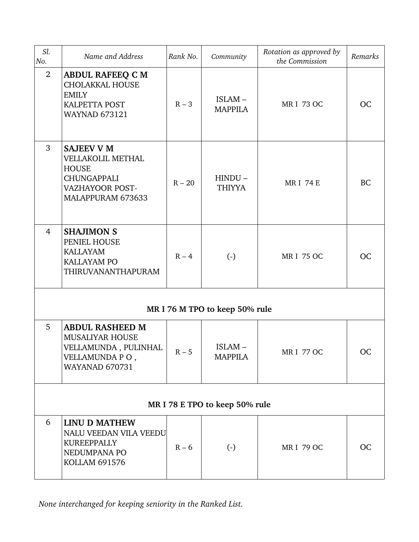| Sl.<br>No.                     | Name and Address                                                                                                     | Rank No. | Community                  | Rotation as approved by<br>the Commission | Remarks   |  |
|--------------------------------|----------------------------------------------------------------------------------------------------------------------|----------|----------------------------|-------------------------------------------|-----------|--|
| $\overline{2}$                 | <b>ABDUL RAFEEQ C M</b><br><b>CHOLAKKAL HOUSE</b><br><b>EMILY</b><br><b>KALPETTA POST</b><br><b>WAYNAD 673121</b>    | $R - 3$  | ISLAM-<br><b>MAPPILA</b>   | <b>MRI 73 OC</b>                          | <b>OC</b> |  |
| 3                              | <b>SAJEEV V M</b><br>VELLAKOLIL METHAL<br><b>HOUSE</b><br><b>CHUNGAPPALI</b><br>VAZHAYOOR POST-<br>MALAPPURAM 673633 | $R - 20$ | $HINDU -$<br><b>THIYYA</b> | <b>MRI 74 E</b>                           | <b>BC</b> |  |
| $\overline{4}$                 | <b>SHAJIMON S</b><br>PENIEL HOUSE<br><b>KALLAYAM</b><br>KALLAYAM PO<br>THIRUVANANTHAPURAM                            | $R - 4$  | $\left( \cdot \right)$     | <b>MRI 75 OC</b>                          | <b>OC</b> |  |
| MR I 76 M TPO to keep 50% rule |                                                                                                                      |          |                            |                                           |           |  |
| 5                              | <b>ABDUL RASHEED M</b><br><b>MUSALIYAR HOUSE</b><br>VELLAMUNDA, PULINHAL<br>VELLAMUNDA PO,<br><b>WAYANAD 670731</b>  | $R - 5$  | ISLAM-<br><b>MAPPILA</b>   | <b>MRI 77 OC</b>                          | <b>OC</b> |  |
| MR I 78 E TPO to keep 50% rule |                                                                                                                      |          |                            |                                           |           |  |
| 6                              | <b>LINU D MATHEW</b><br>NALU VEEDAN VILA VEEDU<br><b>KUREEPPALLY</b><br>NEDUMPANA PO<br><b>KOLLAM 691576</b>         | $R - 6$  | $\left( \cdot \right)$     | <b>MRI 79 OC</b>                          | <b>OC</b> |  |

*None interchanged for keeping seniority in the Ranked List.*